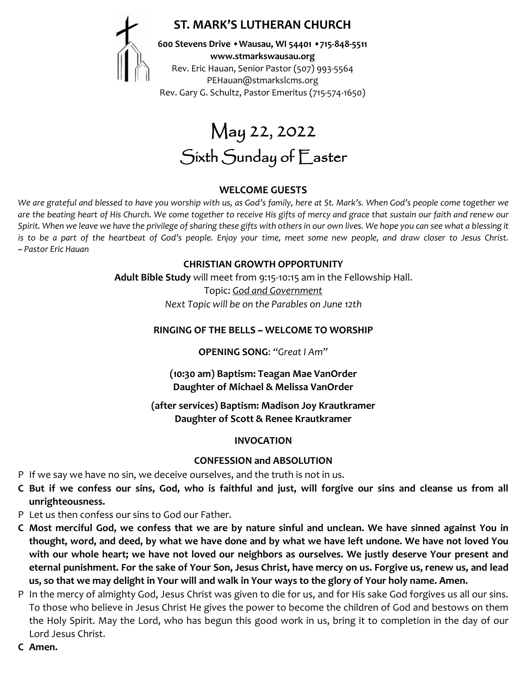# **ST. MARK'S LUTHERAN CHURCH**



**600 Stevens Drive •Wausau, WI 54401 •715-848-5511 www.stmarkswausau.org** Rev. Eric Hauan, Senior Pastor (507) 993-5564 PEHauan@stmarkslcms.org Rev. Gary G. Schultz, Pastor Emeritus (715-574-1650)

May 22, 2022 Sixth Sunday of Easter

#### **WELCOME GUESTS**

*We are grateful and blessed to have you worship with us, as God's family, here at St. Mark's. When God's people come together we are the beating heart of His Church. We come together to receive His gifts of mercy and grace that sustain our faith and renew our*  Spirit. When we leave we have the privilege of sharing these gifts with others in our own lives. We hope you can see what a blessing it *is to be a part of the heartbeat of God's people. Enjoy your time, meet some new people, and draw closer to Jesus Christ. ~ Pastor Eric Hauan*

#### **CHRISTIAN GROWTH OPPORTUNITY**

**Adult Bible Study** will meet from 9:15-10:15 am in the Fellowship Hall.

Topic: *God and Government Next Topic will be on the Parables on June 12th*

#### **RINGING OF THE BELLS ~ WELCOME TO WORSHIP**

**OPENING SONG**: *"Great I Am"*

**(10:30 am) Baptism: Teagan Mae VanOrder Daughter of Michael & Melissa VanOrder**

**(after services) Baptism: Madison Joy Krautkramer Daughter of Scott & Renee Krautkramer**

#### **INVOCATION**

#### **CONFESSION and ABSOLUTION**

- P If we say we have no sin, we deceive ourselves, and the truth is not in us.
- **C But if we confess our sins, God, who is faithful and just, will forgive our sins and cleanse us from all unrighteousness.**
- P Let us then confess our sins to God our Father.
- **C Most merciful God, we confess that we are by nature sinful and unclean. We have sinned against You in thought, word, and deed, by what we have done and by what we have left undone. We have not loved You with our whole heart; we have not loved our neighbors as ourselves. We justly deserve Your present and eternal punishment. For the sake of Your Son, Jesus Christ, have mercy on us. Forgive us, renew us, and lead us, so that we may delight in Your will and walk in Your ways to the glory of Your holy name. Amen.**
- P In the mercy of almighty God, Jesus Christ was given to die for us, and for His sake God forgives us all our sins. To those who believe in Jesus Christ He gives the power to become the children of God and bestows on them the Holy Spirit. May the Lord, who has begun this good work in us, bring it to completion in the day of our Lord Jesus Christ.
- **C Amen.**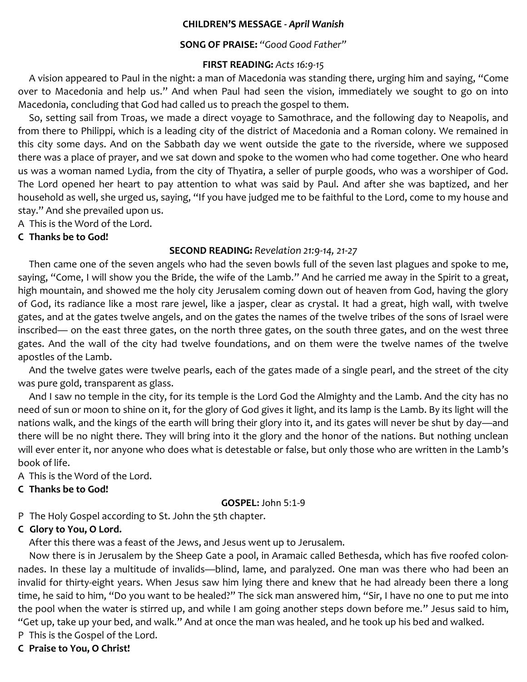#### **CHILDREN'S MESSAGE -** *April Wanish*

#### **SONG OF PRAISE:** *"Good Good Father"*

#### **FIRST READING:** *Acts 16:9-15*

A vision appeared to Paul in the night: a man of Macedonia was standing there, urging him and saying, "Come over to Macedonia and help us." And when Paul had seen the vision, immediately we sought to go on into Macedonia, concluding that God had called us to preach the gospel to them.

So, setting sail from Troas, we made a direct voyage to Samothrace, and the following day to Neapolis, and from there to Philippi, which is a leading city of the district of Macedonia and a Roman colony. We remained in this city some days. And on the Sabbath day we went outside the gate to the riverside, where we supposed there was a place of prayer, and we sat down and spoke to the women who had come together. One who heard us was a woman named Lydia, from the city of Thyatira, a seller of purple goods, who was a worshiper of God. The Lord opened her heart to pay attention to what was said by Paul. And after she was baptized, and her household as well, she urged us, saying, "If you have judged me to be faithful to the Lord, come to my house and stay." And she prevailed upon us.

A This is the Word of the Lord.

#### **C Thanks be to God!**

#### **SECOND READING:** *Revelation 21:9-14, 21-27*

Then came one of the seven angels who had the seven bowls full of the seven last plagues and spoke to me, saying, "Come, I will show you the Bride, the wife of the Lamb." And he carried me away in the Spirit to a great, high mountain, and showed me the holy city Jerusalem coming down out of heaven from God, having the glory of God, its radiance like a most rare jewel, like a jasper, clear as crystal. It had a great, high wall, with twelve gates, and at the gates twelve angels, and on the gates the names of the twelve tribes of the sons of Israel were inscribed— on the east three gates, on the north three gates, on the south three gates, and on the west three gates. And the wall of the city had twelve foundations, and on them were the twelve names of the twelve apostles of the Lamb.

And the twelve gates were twelve pearls, each of the gates made of a single pearl, and the street of the city was pure gold, transparent as glass.

And I saw no temple in the city, for its temple is the Lord God the Almighty and the Lamb. And the city has no need of sun or moon to shine on it, for the glory of God gives it light, and its lamp is the Lamb. By its light will the nations walk, and the kings of the earth will bring their glory into it, and its gates will never be shut by day—and there will be no night there. They will bring into it the glory and the honor of the nations. But nothing unclean will ever enter it, nor anyone who does what is detestable or false, but only those who are written in the Lamb's book of life.

A This is the Word of the Lord.

#### **C Thanks be to God!**

#### **GOSPEL:** John 5:1-9

P The Holy Gospel according to St. John the 5th chapter.

#### **C Glory to You, O Lord.**

After this there was a feast of the Jews, and Jesus went up to Jerusalem.

Now there is in Jerusalem by the Sheep Gate a pool, in Aramaic called Bethesda, which has five roofed colonnades. In these lay a multitude of invalids—blind, lame, and paralyzed. One man was there who had been an invalid for thirty-eight years. When Jesus saw him lying there and knew that he had already been there a long time, he said to him, "Do you want to be healed?" The sick man answered him, "Sir, I have no one to put me into the pool when the water is stirred up, and while I am going another steps down before me." Jesus said to him, "Get up, take up your bed, and walk." And at once the man was healed, and he took up his bed and walked.

P This is the Gospel of the Lord.

# **C Praise to You, O Christ!**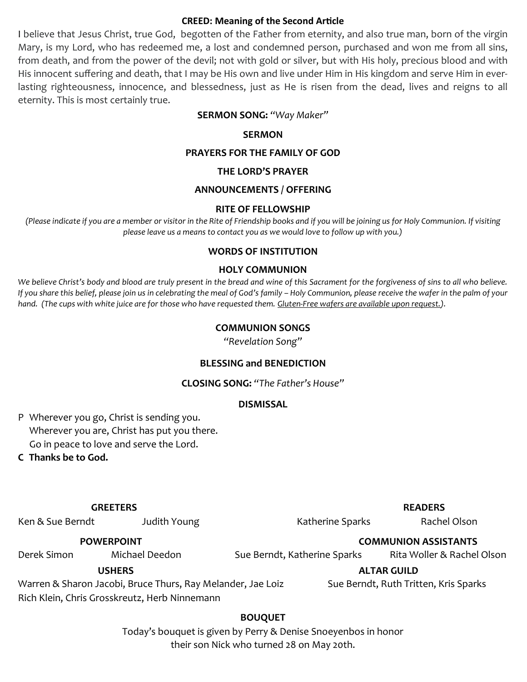#### **CREED: Meaning of the Second Article**

I believe that Jesus Christ, true God, begotten of the Father from eternity, and also true man, born of the virgin Mary, is my Lord, who has redeemed me, a lost and condemned person, purchased and won me from all sins, from death, and from the power of the devil; not with gold or silver, but with His holy, precious blood and with His innocent suffering and death, that I may be His own and live under Him in His kingdom and serve Him in everlasting righteousness, innocence, and blessedness, just as He is risen from the dead, lives and reigns to all eternity. This is most certainly true.

#### **SERMON SONG:** *"Way Maker"*

#### **SERMON**

#### **PRAYERS FOR THE FAMILY OF GOD**

#### **THE LORD'S PRAYER**

#### **ANNOUNCEMENTS / OFFERING**

#### **RITE OF FELLOWSHIP**

*(Please indicate if you are a member or visitor in the Rite of Friendship books and if you will be joining us for Holy Communion. If visiting please leave us a means to contact you as we would love to follow up with you.)*

#### **WORDS OF INSTITUTION**

#### **HOLY COMMUNION**

*We believe Christ's body and blood are truly present in the bread and wine of this Sacrament for the forgiveness of sins to all who believe. If you share this belief, please join us in celebrating the meal of God's family – Holy Communion, please receive the wafer in the palm of your hand. (The cups with white juice are for those who have requested them. Gluten-Free wafers are available upon request.).*

#### **COMMUNION SONGS**

*"Revelation Song"*

#### **BLESSING and BENEDICTION**

**CLOSING SONG:** *"The Father's House"*

#### **DISMISSAL**

P Wherever you go, Christ is sending you. Wherever you are, Christ has put you there. Go in peace to love and serve the Lord.

**C Thanks be to God.**

#### **GREETERS READERS**

Ken & Sue Berndt Mudith Young The Statherine Sparks Rachel Olson

Derek Simon Michael Deedon Sue Berndt, Katherine Sparks Rita Woller & Rachel Olson

Warren & Sharon Jacobi, Bruce Thurs, Ray Melander, Jae Loiz Sue Berndt, Ruth Tritten, Kris Sparks

Rich Klein, Chris Grosskreutz, Herb Ninnemann

### **BOUQUET**

Today's bouquet is given by Perry & Denise Snoeyenbos in honor their son Nick who turned 28 on May 20th.

#### **POWERPOINT COMMUNION ASSISTANTS**

 **USHERS ALTAR GUILD**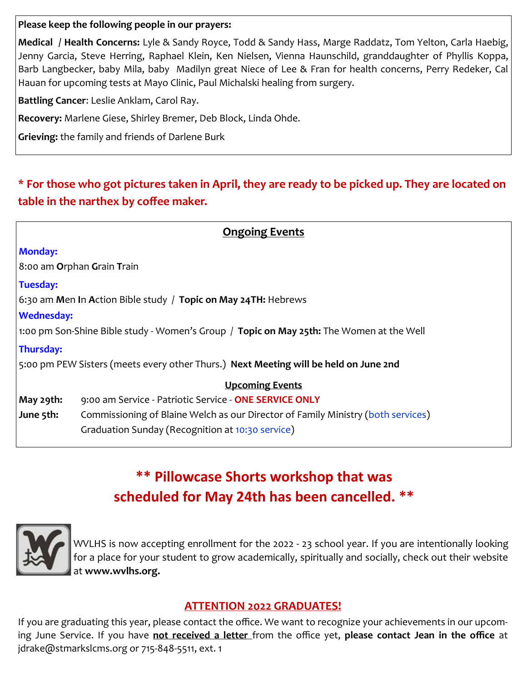### **Please keep the following people in our prayers:**

**Medical / Health Concerns:** Lyle & Sandy Royce, Todd & Sandy Hass, Marge Raddatz, Tom Yelton, Carla Haebig, Jenny Garcia, Steve Herring, Raphael Klein, Ken Nielsen, Vienna Haunschild, granddaughter of Phyllis Koppa, Barb Langbecker, baby Mila, baby Madilyn great Niece of Lee & Fran for health concerns, Perry Redeker, Cal Hauan for upcoming tests at Mayo Clinic, Paul Michalski healing from surgery.

**Battling Cancer**: Leslie Anklam, Carol Ray.

**Recovery:** Marlene Giese, Shirley Bremer, Deb Block, Linda Ohde.

**Grieving:** the family and friends of Darlene Burk

# **\* For those who got pictures taken in April, they are ready to be picked up. They are located on table in the narthex by coffee maker.**

| <b>Ongoing Events</b>                                                                           |                                                                                      |  |  |  |  |
|-------------------------------------------------------------------------------------------------|--------------------------------------------------------------------------------------|--|--|--|--|
| <b>Monday:</b>                                                                                  |                                                                                      |  |  |  |  |
|                                                                                                 | $ 8:$ 00 am Orphan Grain Train                                                       |  |  |  |  |
| Tuesday:                                                                                        |                                                                                      |  |  |  |  |
|                                                                                                 | $\sim$ 6:30 am Men In Action Bible study / Topic on May 24TH: Hebrews                |  |  |  |  |
| <b>Wednesday:</b>                                                                               |                                                                                      |  |  |  |  |
| 1:00 pm Son-Shine Bible study - Women's Group / <b>Topic on May 25th:</b> The Women at the Well |                                                                                      |  |  |  |  |
| Thursday:                                                                                       |                                                                                      |  |  |  |  |
|                                                                                                 | 5:00 pm PEW Sisters (meets every other Thurs.) Next Meeting will be held on June 2nd |  |  |  |  |
|                                                                                                 | <b>Upcoming Events</b>                                                               |  |  |  |  |
| May 29th:                                                                                       | 9:00 am Service - Patriotic Service - ONE SERVICE ONLY                               |  |  |  |  |
| June 5th:                                                                                       | Commissioning of Blaine Welch as our Director of Family Ministry (both services)     |  |  |  |  |
|                                                                                                 | Graduation Sunday (Recognition at 10:30 service)                                     |  |  |  |  |

# **\*\* Pillowcase Shorts workshop that was scheduled for May 24th has been cancelled. \*\***



WVLHS is now accepting enrollment for the 2022 - 23 school year. If you are intentionally looking for a place for your student to grow academically, spiritually and socially, check out their website at **[www.wvlhs.org.](http://www.wvlhs.org)**

# **ATTENTION 2022 GRADUATES!**

If you are graduating this year, please contact the office. We want to recognize your achievements in our upcoming June Service. If you have **not received a letter** from the office yet, **please contact Jean in the office** at jdrake@stmarkslcms.org or 715-848-5511, ext. 1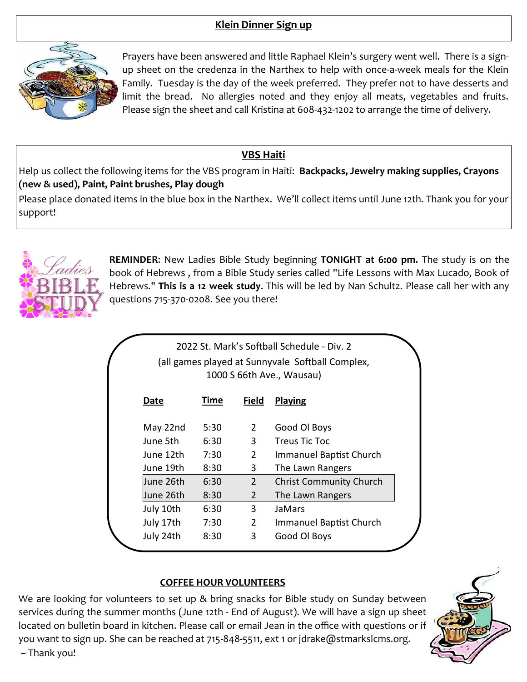# **Klein Dinner Sign up**



Prayers have been answered and little Raphael Klein's surgery went well. There is a signup sheet on the credenza in the Narthex to help with once-a-week meals for the Klein Family. Tuesday is the day of the week preferred. They prefer not to have desserts and limit the bread. No allergies noted and they enjoy all meats, vegetables and fruits. Please sign the sheet and call Kristina at 608-432-1202 to arrange the time of delivery.

# **VBS Haiti**

Help us collect the following items for the VBS program in Haiti: **Backpacks, Jewelry making supplies, Crayons (new & used), Paint, Paint brushes, Play dough**

Please place donated items in the blue box in the Narthex. We'll collect items until June 12th. Thank you for your support!



**REMINDER**: New Ladies Bible Study beginning **TONIGHT at 6:00 pm.** The study is on the book of Hebrews , from a Bible Study series called "Life Lessons with Max Lucado, Book of Hebrews." **This is a 12 week study**. This will be led by Nan Schultz. Please call her with any questions 715-370-0208. See you there!

|           |             |                | 2022 St. Mark's Softball Schedule - Div. 2<br>(all games played at Sunnyvale Softball Complex,<br>1000 S 66th Ave., Wausau) |
|-----------|-------------|----------------|-----------------------------------------------------------------------------------------------------------------------------|
| Date      | <b>Time</b> | <b>Field</b>   | Playing                                                                                                                     |
| May 22nd  | 5:30        | $2^{\circ}$    | Good Ol Boys                                                                                                                |
| June 5th  | 6:30        | $\mathbf{3}$   | Treus Tic Toc                                                                                                               |
| June 12th | 7:30        | $\overline{2}$ | <b>Immanuel Baptist Church</b>                                                                                              |
| June 19th | 8:30        | 3              | The Lawn Rangers                                                                                                            |
| June 26th | 6:30        | $\overline{2}$ | <b>Christ Community Church</b>                                                                                              |
| June 26th | 8:30        | 2              | The Lawn Rangers                                                                                                            |
| July 10th | 6:30        | 3              | JaMars                                                                                                                      |
| July 17th | 7:30        | $\overline{2}$ | <b>Immanuel Baptist Church</b>                                                                                              |
| July 24th | 8:30        | 3              | Good Ol Boys                                                                                                                |

#### **COFFEE HOUR VOLUNTEERS**

We are looking for volunteers to set up & bring snacks for Bible study on Sunday between services during the summer months (June 12th - End of August). We will have a sign up sheet located on bulletin board in kitchen. Please call or email Jean in the office with questions or if you want to sign up. She can be reached at 715-848-5511, ext 1 or jdrake@stmarkslcms.org.  $\sim$  Thank you!